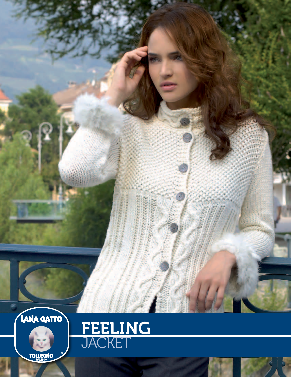

**TOLLEGNO** 

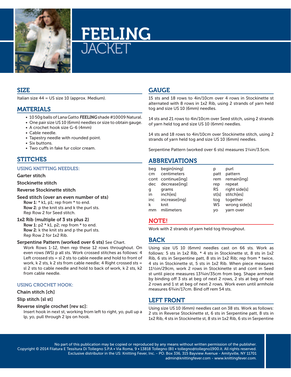

# FEELING ACKET

## SIZE

Italian size 44 = US size 10 (approx. Medium).

## MATERIALS

- 10 50g balls of Lana Gatto FEELING shade #10009 Natural.
- One pair size US 10 (6mm) needles or size to obtain gauge.
- A crochet hook size G-6 (4mm)
- Cable needle.
- Tapestry needle with rounded point.
- Six buttons.
- Two cuffs in fake fur color cream.

# STITCHES

#### Using Knitting needles:

#### Garter stitch

#### Stockinette stitch

### Reverse Stockinette stitch

Seed stitch (over an even number of sts) Row 1: \* k1, p1; rep from \* to end.

Row 2: p the knit sts and k the purl sts. Rep Row 2 for Seed stitch.

#### 1x2 Rib (multiple of 3 sts plus 2)

Row 1:  $p2 * k1$ ,  $p2$ ; rep from  $*$  to end. Row 2: k the knit sts and p the purl sts. Rep Row 2 for 1x2 Rib.

#### Serpentine Pattern (worked over 6 sts) See Chart.

Work Rows 1-12, then rep these 12 rows throughout. On even rows (WS) p all sts. Work crossed stitches as follows: 4 Left crossed sts = sl 2 sts to cable needle and hold to front of work, k 2 sts, k 2 sts from cable needle; 4 Right crossed sts = sl 2 sts to cable needle and hold to back of work, k 2 sts, k2 from cable needle.

## Using crochet hook:

### Chain stitch [ch]

### Slip stitch [sl st]

### Reverse single crochet [rev sc]:

Insert hook in next st, working from left to right, yo, pull up a lp, yo, pull through 2 lps on hook.

# **GAUGE**

15 sts and 18 rows to 4in/10cm over 4 rows in Stockinette st alternated with 8 rows in 1x2 Rib, using 2 strands of yarn held tog and size US 10 (6mm) needles.

14 sts and 21 rows to 4in/10cm over Seed stitch, using 2 strands of yarn held tog and size US 10 (6mm) needles.

14 sts and 18 rows to 4in/10cm over Stockinette stitch, using 2 strands of yarn held tog and size US 10 (6mm) needles.

Serpentine Pattern (worked over 6 sts) measures 1<sup>1</sup>/4in/3.5cm.

## ABBREVIATIONS

| beg | begin[ning]        | р         | purl          |
|-----|--------------------|-----------|---------------|
| cm  | centimeters        | patt      | pattern       |
|     | cont continue[ing] | rem       | remain[ing]   |
| dec | decrease[ing]      | rep       | repeat        |
| g   | grams              | <b>RS</b> | right side[s] |
| in  | inch[es]           | st[s]     | stitch[es]    |
| inc | increase[ing]      | tog       | together      |
| k   | knit               | WS        | wrong side[s] |
| mm  | milimeters         | VO        | varn over     |

## NOTE!

Work with 2 strands of yarn held tog throughout.

## BACK

Using size US 10 (6mm) needles cast on 66 sts. Work as follows: 5 sts in 1x2 Rib, \* 4 sts in Stockinette st, 8 sts in 1x2 Rib, 6 sts in Serpentine patt, 8 sts in 1x2 Rib; rep from \* twice, 4 sts in Stockinette st, 5 sts in 1x2 Rib. When piece measures 11½in/29cm, work 2 rows in Stockinette st and cont in Seed st until piece measures 133/4in/35cm from beg. Shape armhole by binding off 3 sts at beg of next 2 rows, 2 sts at beg of next 2 rows and 1 st at beg of next 2 rows. Work even until armhole measures 6<sup>3</sup>/<sub>4</sub>in/17cm. Bind off rem 54 sts.

# LEFT FRONT

Using size US 10 (6mm) needles cast on 38 sts. Work as follows: 2 sts in Reverse Stockinette st, 6 sts in Serpentine patt, 8 sts in 1x2 Rib, 4 sts in Stockinette st, 8 sts in 1x2 Rib, 6 sts in Serpentine

No part of this publication may be copied or reproduced by any means without written permission of the publisher. Copyright © 2014 Filatura E Tessitura Di Tollegno S.P.A • Via Roma, 9 • 13818 Tollegno (BI) • tollegno@tollegno1900.it. All rights reserved. Exclusive distributor in the US: Knitting Fever, Inc. - PO. Box 336, 315 Bayview Avenue - Amityville, NY 11701 admin@knittingfever.com - www.knittingfever.com.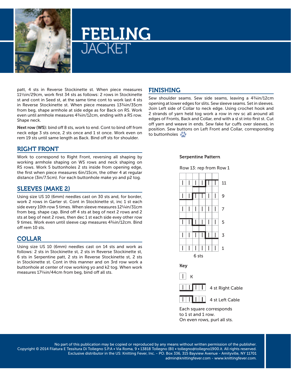

# FEELING **JACKET**

patt, 4 sts in Reverse Stockinette st. When piece measures 11½in/29cm, work first 34 sts as follows: 2 rows in Stockinette st and cont in Seed st, at the same time cont to work last 4 sts in Reverse Stockinette st. When piece measures 13¾in/35cm from beg, shape armhole at side edge as for Back on RS. Work even until armhole measures 43/4in/12cm, ending with a RS row. Shape neck.

Next row (WS): bind off 8 sts, work to end. Cont to bind off from neck edge 3 sts once, 2 sts once and 1 st once. Work even on rem 19 sts until same length as Back. Bind off sts for shoulder.

## RIGHT FRONT

Work to correspond to Right Front, reversing all shaping by working armhole shaping on WS rows and neck shaping on RS rows. Work 5 buttonholes 2 sts inside from opening edge, the first when piece measures 6in/15cm, the other 4 at regular distance (3in/7.5cm). For each buttonhole make yo and p2 tog.

# SLEEVES (make 2)

Using size US 10 (6mm) needles cast on 30 sts and, for border, work 2 rows in Garter st. Cont in Stockinette st, inc 1 st each side every 10th row 5 times. When sleeve measures 12<sup>1</sup>/4in/31cm from beg, shape cap. Bind off 4 sts at beg of next 2 rows and 2 sts at beg of next 2 rows, then dec 1 st each side evey other row 9 times. Work even until sleeve cap measures 4¾in/12cm. Bind off rem 10 sts.

## COLLAR

Using size US 10 (6mm) needles cast on 14 sts and work as follows: 2 sts in Stockinette st, 2 sts in Reverse Stockinette st, 6 sts in Serpentine patt, 2 sts in Reverse Stockinette st, 2 sts in Stockinette st. Cont in this manner and on 3rd row work a buttonhole at center of row working yo and k2 tog. When work measures 17¼in/44cm from beg, bind off all sts.

## FINISHING

Sew shoulder seams. Sew side seams, leaving a 43/4in/12cm opening at lower edges for slits. Sew sleeve seams. Set in sleeves. Join Left side of Collar to neck edge. Using crochet hook and 2 strands of yarn held tog work a row in rev sc all around all edges of Fronts, Back and Collar, end with a sl st into first st. Cut off yarn and weave in ends. Sew fake fur cuffs over sleeves, in position. Sew buttons on Left Front and Collar, corresponding to buttonholes  $\bullet$ 

### Serpentine Pattern





No part of this publication may be copied or reproduced by any means without written permission of the publisher. Copyright © 2014 Filatura E Tessitura Di Tollegno S.P.A • Via Roma, 9 • 13818 Tollegno (BI) • tollegno@tollegno1900.it. All rights reserved. Exclusive distributor in the US: Knitting Fever, Inc. - PO. Box 336, 315 Bayview Avenue - Amityville, NY 11701 admin@knittingfever.com - www.knittingfever.com.